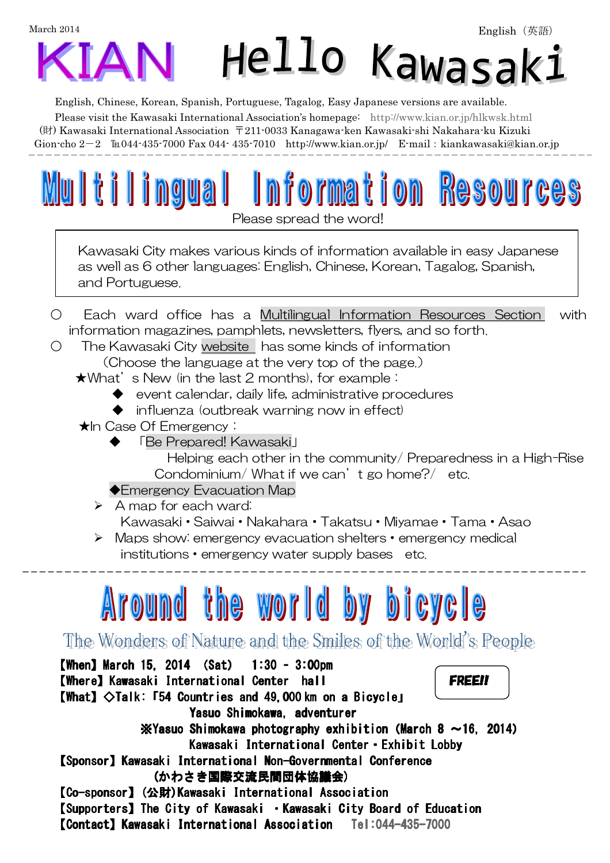

English, Chinese, Korean, Spanish, Portuguese, Tagalog, Easy Japanese versions are available.

Please visit the Kawasaki International Association's homepage: http://www.kian.or.jp/hlkwsk.html

 (財) Kawasaki International Association 〒211-0033 Kanagawa-ken Kawasaki-shi Nakahara-ku Kizuki Gion-cho  $2-2$  
Eu044-435-7000 Fax 044-435-7010 http://www.kian.or.jp/ E-mail: kiankawasaki@kian.or.jp

 $\overline{\phantom{a}}$ 

Please spread the word!

Multilingual Information Resources

Kawasaki City makes various kinds of information available in easy Japanese as well as 6 other languages: English, Chinese, Korean, Tagalog, Spanish, and Portuguese.

- Each ward office has a Multilingual Information Resources Section with information magazines, pamphlets, newsletters, flyers, and so forth.
- The Kawasaki City website has some kinds of information (Choose the language at the very top of the page.)

 $\star$ What's New (in the last 2 months), for example:

- ◆ event calendar, daily life, administrative procedures
- ◆ influenza (outbreak warning now in effect)

**★In Case Of Emergency:** 

◆ 「Be Prepared! Kawasaki」

 Helping each other in the community/ Preparedness in a High-Rise Condominium/ What if we can't go home?/ etc.

◆Emergency Evacuation Map

 $\triangleright$  A map for each ward:

Kawasaki・Saiwai・Nakahara・Takatsu・Miyamae・Tama・Asao

 Maps show: emergency evacuation shelters・emergency medical institutions・emergency water supply bases etc.

## Around the world by bicycle

The Wonders of Nature and the Smiles of the World's People

 $[When] March 15, 2014 (Sat) 1:30 - 3:00pm$ [Where] Kawasaki International Center hall FREE!!  $[What]  $\diamond$  Talk:  $\overline{54}$  Countries and 49,000 km on a Bicyclej$ Yasuo Shimokawa, adventurer  $\cdot$  X Yasuo Shimokawa photography exhibition (March 8  $\sim$  16, 2014) Kawasaki International Center · Exhibit Lobby 【Sponsor SponsorSponsor】Kawasaki International Non Kawasaki International Non-Governmental Conference Governmental Conference (かわさき国際交流民間団体協議会) 【Co-sponsor】(公財)Kawasaki International Association 【Supporters】The City of Kawasaki · Kawasaki City Board of Education **[Contact] Kawasaki International Association** Tel:044-435-7000